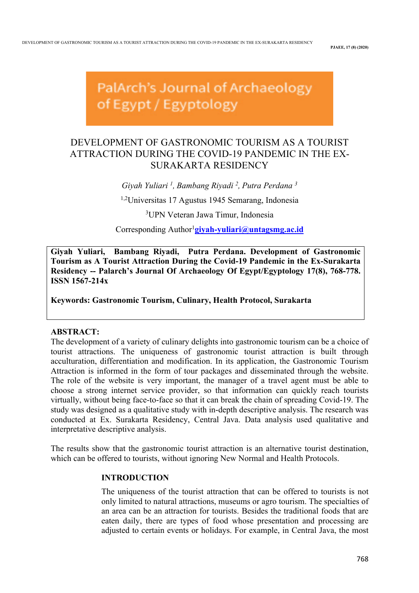**PJAEE, 17 (8) (2020)**

# PalArch's Journal of Archaeology of Egypt / Egyptology

# DEVELOPMENT OF GASTRONOMIC TOURISM AS A TOURIST ATTRACTION DURING THE COVID-19 PANDEMIC IN THE EX-SURAKARTA RESIDENCY

*Giyah Yuliari 1 , Bambang Riyadi 2 , Putra Perdana 3* 1,2Universitas 17 Agustus 1945 Semarang, Indonesia

3 UPN Veteran Jawa Timur, Indonesia

Corresponding Author<sup>1</sup>givah-vuliari@untagsmg.ac.id

**Giyah Yuliari, Bambang Riyadi, Putra Perdana. Development of Gastronomic Tourism as A Tourist Attraction During the Covid-19 Pandemic in the Ex-Surakarta Residency -- Palarch's Journal Of Archaeology Of Egypt/Egyptology 17(8), 768-778. ISSN 1567-214x**

**Keywords: Gastronomic Tourism, Culinary, Health Protocol, Surakarta**

# **ABSTRACT:**

The development of a variety of culinary delights into gastronomic tourism can be a choice of tourist attractions. The uniqueness of gastronomic tourist attraction is built through acculturation, differentiation and modification. In its application, the Gastronomic Tourism Attraction is informed in the form of tour packages and disseminated through the website. The role of the website is very important, the manager of a travel agent must be able to choose a strong internet service provider, so that information can quickly reach tourists virtually, without being face-to-face so that it can break the chain of spreading Covid-19. The study was designed as a qualitative study with in-depth descriptive analysis. The research was conducted at Ex. Surakarta Residency, Central Java. Data analysis used qualitative and interpretative descriptive analysis.

The results show that the gastronomic tourist attraction is an alternative tourist destination, which can be offered to tourists, without ignoring New Normal and Health Protocols.

# **INTRODUCTION**

The uniqueness of the tourist attraction that can be offered to tourists is not only limited to natural attractions, museums or agro tourism. The specialties of an area can be an attraction for tourists. Besides the traditional foods that are eaten daily, there are types of food whose presentation and processing are adjusted to certain events or holidays. For example, in Central Java, the most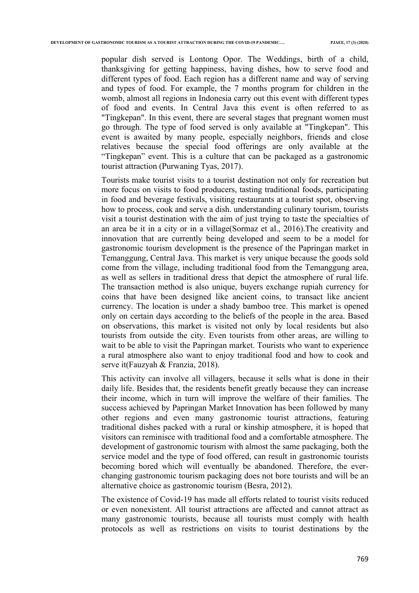popular dish served is Lontong Opor. The Weddings, birth of a child, thanksgiving for getting happiness, having dishes, how to serve food and different types of food. Each region has a different name and way of serving and types of food. For example, the 7 months program for children in the womb, almost all regions in Indonesia carry out this event with different types of food and events. In Central Java this event is often referred to as "Tingkepan". In this event, there are several stages that pregnant women must go through. The type of food served is only available at "Tingkepan". This event is awaited by many people, especially neighbors, friends and close relatives because the special food offerings are only available at the "Tingkepan" event. This is a culture that can be packaged as a gastronomic tourist attraction (Purwaning Tyas, 2017).

Tourists make tourist visits to a tourist destination not only for recreation but more focus on visits to food producers, tasting traditional foods, participating in food and beverage festivals, visiting restaurants at a tourist spot, observing how to process, cook and serve a dish. understanding culinary tourism, tourists visit a tourist destination with the aim of just trying to taste the specialties of an area be it in a city or in a village(Sormaz et al., 2016).The creativity and innovation that are currently being developed and seem to be a model for gastronomic tourism development is the presence of the Papringan market in Temanggung, Central Java. This market is very unique because the goods sold come from the village, including traditional food from the Temanggung area, as well as sellers in traditional dress that depict the atmosphere of rural life. The transaction method is also unique, buyers exchange rupiah currency for coins that have been designed like ancient coins, to transact like ancient currency. The location is under a shady bamboo tree. This market is opened only on certain days according to the beliefs of the people in the area. Based on observations, this market is visited not only by local residents but also tourists from outside the city. Even tourists from other areas, are willing to wait to be able to visit the Papringan market. Tourists who want to experience a rural atmosphere also want to enjoy traditional food and how to cook and serve it(Fauzyah & Franzia, 2018).

This activity can involve all villagers, because it sells what is done in their daily life. Besides that, the residents benefit greatly because they can increase their income, which in turn will improve the welfare of their families. The success achieved by Papringan Market Innovation has been followed by many other regions and even many gastronomic tourist attractions, featuring traditional dishes packed with a rural or kinship atmosphere, it is hoped that visitors can reminisce with traditional food and a comfortable atmosphere. The development of gastronomic tourism with almost the same packaging, both the service model and the type of food offered, can result in gastronomic tourists becoming bored which will eventually be abandoned. Therefore, the everchanging gastronomic tourism packaging does not bore tourists and will be an alternative choice as gastronomic tourism (Besra, 2012).

The existence of Covid-19 has made all efforts related to tourist visits reduced or even nonexistent. All tourist attractions are affected and cannot attract as many gastronomic tourists, because all tourists must comply with health protocols as well as restrictions on visits to tourist destinations by the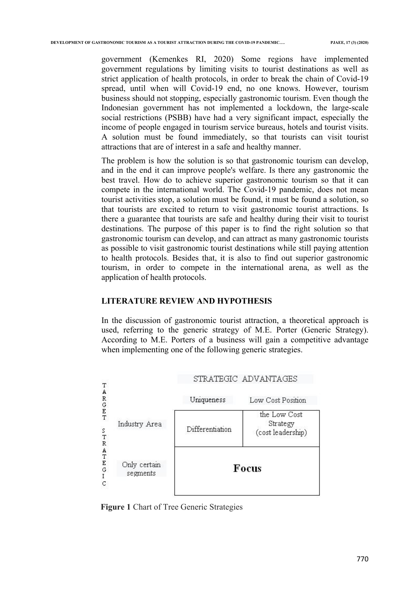government (Kemenkes RI, 2020) Some regions have implemented government regulations by limiting visits to tourist destinations as well as strict application of health protocols, in order to break the chain of Covid-19 spread, until when will Covid-19 end, no one knows. However, tourism business should not stopping, especially gastronomic tourism. Even though the Indonesian government has not implemented a lockdown, the large-scale social restrictions (PSBB) have had a very significant impact, especially the income of people engaged in tourism service bureaus, hotels and tourist visits. A solution must be found immediately, so that tourists can visit tourist attractions that are of interest in a safe and healthy manner.

The problem is how the solution is so that gastronomic tourism can develop, and in the end it can improve people's welfare. Is there any gastronomic the best travel. How do to achieve superior gastronomic tourism so that it can compete in the international world. The Covid-19 pandemic, does not mean tourist activities stop, a solution must be found, it must be found a solution, so that tourists are excited to return to visit gastronomic tourist attractions. Is there a guarantee that tourists are safe and healthy during their visit to tourist destinations. The purpose of this paper is to find the right solution so that gastronomic tourism can develop, and can attract as many gastronomic tourists as possible to visit gastronomic tourist destinations while still paying attention to health protocols. Besides that, it is also to find out superior gastronomic tourism, in order to compete in the international arena, as well as the application of health protocols.

#### **LITERATURE REVIEW AND HYPOTHESIS**

In the discussion of gastronomic tourist attraction, a theoretical approach is used, referring to the generic strategy of M.E. Porter (Generic Strategy). According to M.E. Porters of a business will gain a competitive advantage when implementing one of the following generic strategies.



**Figure 1** Chart of Tree Generic Strategies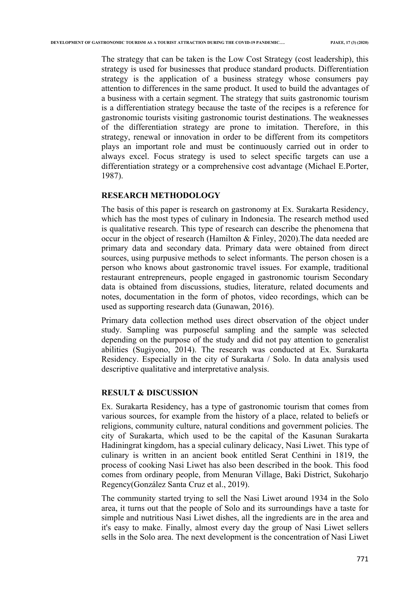The strategy that can be taken is the Low Cost Strategy (cost leadership), this strategy is used for businesses that produce standard products. Differentiation strategy is the application of a business strategy whose consumers pay attention to differences in the same product. It used to build the advantages of a business with a certain segment. The strategy that suits gastronomic tourism is a differentiation strategy because the taste of the recipes is a reference for gastronomic tourists visiting gastronomic tourist destinations. The weaknesses of the differentiation strategy are prone to imitation. Therefore, in this strategy, renewal or innovation in order to be different from its competitors plays an important role and must be continuously carried out in order to always excel. Focus strategy is used to select specific targets can use a differentiation strategy or a comprehensive cost advantage (Michael E.Porter, 1987).

#### **RESEARCH METHODOLOGY**

The basis of this paper is research on gastronomy at Ex. Surakarta Residency, which has the most types of culinary in Indonesia. The research method used is qualitative research. This type of research can describe the phenomena that occur in the object of research (Hamilton & Finley, 2020).The data needed are primary data and secondary data. Primary data were obtained from direct sources, using purpusive methods to select informants. The person chosen is a person who knows about gastronomic travel issues. For example, traditional restaurant entrepreneurs, people engaged in gastronomic tourism Secondary data is obtained from discussions, studies, literature, related documents and notes, documentation in the form of photos, video recordings, which can be used as supporting research data (Gunawan, 2016).

Primary data collection method uses direct observation of the object under study. Sampling was purposeful sampling and the sample was selected depending on the purpose of the study and did not pay attention to generalist abilities (Sugiyono, 2014). The research was conducted at Ex. Surakarta Residency. Especially in the city of Surakarta / Solo. In data analysis used descriptive qualitative and interpretative analysis.

## **RESULT & DISCUSSION**

Ex. Surakarta Residency, has a type of gastronomic tourism that comes from various sources, for example from the history of a place, related to beliefs or religions, community culture, natural conditions and government policies. The city of Surakarta, which used to be the capital of the Kasunan Surakarta Hadiningrat kingdom, has a special culinary delicacy, Nasi Liwet. This type of culinary is written in an ancient book entitled Serat Centhini in 1819, the process of cooking Nasi Liwet has also been described in the book. This food comes from ordinary people, from Menuran Village, Baki District, Sukoharjo Regency(González Santa Cruz et al., 2019).

The community started trying to sell the Nasi Liwet around 1934 in the Solo area, it turns out that the people of Solo and its surroundings have a taste for simple and nutritious Nasi Liwet dishes, all the ingredients are in the area and it's easy to make. Finally, almost every day the group of Nasi Liwet sellers sells in the Solo area. The next development is the concentration of Nasi Liwet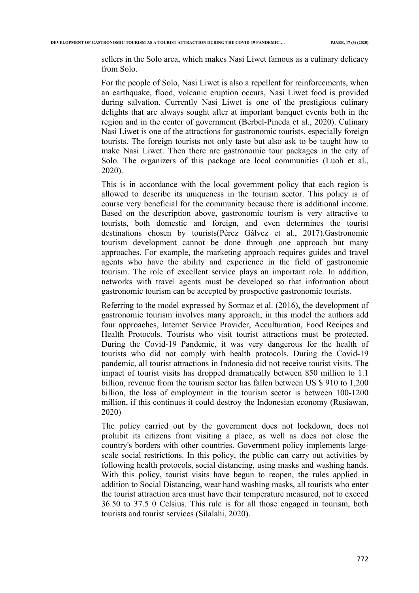sellers in the Solo area, which makes Nasi Liwet famous as a culinary delicacy from Solo.

For the people of Solo, Nasi Liwet is also a repellent for reinforcements, when an earthquake, flood, volcanic eruption occurs, Nasi Liwet food is provided during salvation. Currently Nasi Liwet is one of the prestigious culinary delights that are always sought after at important banquet events both in the region and in the center of government (Berbel-Pineda et al., 2020). Culinary Nasi Liwet is one of the attractions for gastronomic tourists, especially foreign tourists. The foreign tourists not only taste but also ask to be taught how to make Nasi Liwet. Then there are gastronomic tour packages in the city of Solo. The organizers of this package are local communities (Luoh et al., 2020).

This is in accordance with the local government policy that each region is allowed to describe its uniqueness in the tourism sector. This policy is of course very beneficial for the community because there is additional income. Based on the description above, gastronomic tourism is very attractive to tourists, both domestic and foreign, and even determines the tourist destinations chosen by tourists(Pérez Gálvez et al., 2017).Gastronomic tourism development cannot be done through one approach but many approaches. For example, the marketing approach requires guides and travel agents who have the ability and experience in the field of gastronomic tourism. The role of excellent service plays an important role. In addition, networks with travel agents must be developed so that information about gastronomic tourism can be accepted by prospective gastronomic tourists.

Referring to the model expressed by Sormaz et al. (2016), the development of gastronomic tourism involves many approach, in this model the authors add four approaches, Internet Service Provider, Acculturation, Food Recipes and Health Protocols. Tourists who visit tourist attractions must be protected. During the Covid-19 Pandemic, it was very dangerous for the health of tourists who did not comply with health protocols. During the Covid-19 pandemic, all tourist attractions in Indonesia did not receive tourist visits. The impact of tourist visits has dropped dramatically between 850 million to 1.1 billion, revenue from the tourism sector has fallen between US \$ 910 to 1,200 billion, the loss of employment in the tourism sector is between 100-1200 million, if this continues it could destroy the Indonesian economy (Rusiawan, 2020)

The policy carried out by the government does not lockdown, does not prohibit its citizens from visiting a place, as well as does not close the country's borders with other countries. Government policy implements largescale social restrictions. In this policy, the public can carry out activities by following health protocols, social distancing, using masks and washing hands. With this policy, tourist visits have begun to reopen, the rules applied in addition to Social Distancing, wear hand washing masks, all tourists who enter the tourist attraction area must have their temperature measured, not to exceed 36.50 to 37.5 0 Celsius. This rule is for all those engaged in tourism, both tourists and tourist services (Silalahi, 2020).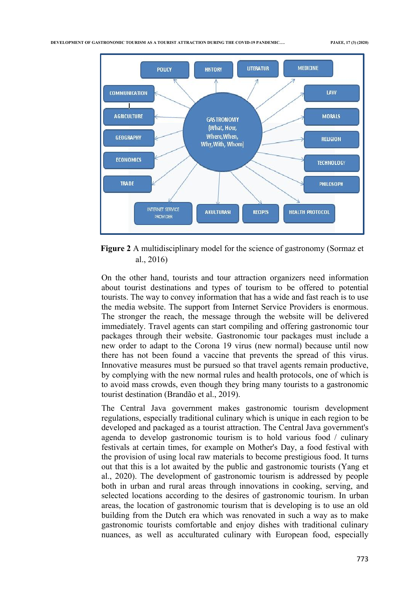

**Figure 2** A multidisciplinary model for the science of gastronomy (Sormaz et al., 2016)

On the other hand, tourists and tour attraction organizers need information about tourist destinations and types of tourism to be offered to potential tourists. The way to convey information that has a wide and fast reach is to use the media website. The support from Internet Service Providers is enormous. The stronger the reach, the message through the website will be delivered immediately. Travel agents can start compiling and offering gastronomic tour packages through their website. Gastronomic tour packages must include a new order to adapt to the Corona 19 virus (new normal) because until now there has not been found a vaccine that prevents the spread of this virus. Innovative measures must be pursued so that travel agents remain productive, by complying with the new normal rules and health protocols, one of which is to avoid mass crowds, even though they bring many tourists to a gastronomic tourist destination (Brandão et al., 2019).

The Central Java government makes gastronomic tourism development regulations, especially traditional culinary which is unique in each region to be developed and packaged as a tourist attraction. The Central Java government's agenda to develop gastronomic tourism is to hold various food / culinary festivals at certain times, for example on Mother's Day, a food festival with the provision of using local raw materials to become prestigious food. It turns out that this is a lot awaited by the public and gastronomic tourists (Yang et al., 2020). The development of gastronomic tourism is addressed by people both in urban and rural areas through innovations in cooking, serving, and selected locations according to the desires of gastronomic tourism. In urban areas, the location of gastronomic tourism that is developing is to use an old building from the Dutch era which was renovated in such a way as to make gastronomic tourists comfortable and enjoy dishes with traditional culinary nuances, as well as acculturated culinary with European food, especially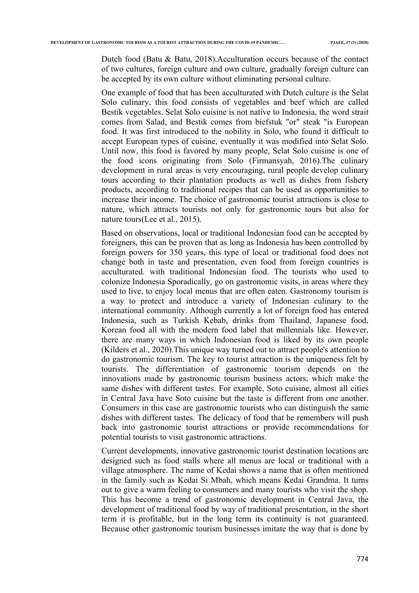Dutch food (Batu & Batu, 2018).Acculturation occurs because of the contact of two cultures, foreign culture and own culture, gradually foreign culture can be accepted by its own culture without eliminating personal culture.

One example of food that has been acculturated with Dutch culture is the Selat Solo culinary, this food consists of vegetables and beef which are called Bestik vegetables. Selat Solo cuisine is not native to Indonesia, the word strait comes from Salad, and Bestik comes from biefstuk "or" steak "is European food. It was first introduced to the nobility in Solo, who found it difficult to accept European types of cuisine, eventually it was modified into Selat Solo. Until now, this food is favored by many people, Selat Solo cuisine is one of the food icons originating from Solo (Firmansyah, 2016).The culinary development in rural areas is very encouraging, rural people develop culinary tours according to their plantation products as well as dishes from fishery products, according to traditional recipes that can be used as opportunities to increase their income. The choice of gastronomic tourist attractions is close to nature, which attracts tourists not only for gastronomic tours but also for nature tours(Lee et al., 2015).

Based on observations, local or traditional Indonesian food can be accepted by foreigners, this can be proven that as long as Indonesia has been controlled by foreign powers for 350 years, this type of local or traditional food does not change both in taste and presentation, even food from foreign countries is acculturated. with traditional Indonesian food. The tourists who used to colonize Indonesia Sporadically, go on gastronomic visits, in areas where they used to live, to enjoy local menus that are often eaten. Gastronomy tourism is a way to protect and introduce a variety of Indonesian culinary to the international community. Although currently a lot of foreign food has entered Indonesia, such as Turkish Kebab, drinks from Thailand, Japanese food, Korean food all with the modern food label that millennials like. However, there are many ways in which Indonesian food is liked by its own people (Kilders et al., 2020).This unique way turned out to attract people's attention to do gastronomic tourism. The key to tourist attraction is the uniqueness felt by tourists. The differentiation of gastronomic tourism depends on the innovations made by gastronomic tourism business actors, which make the same dishes with different tastes. For example, Soto cuisine, almost all cities in Central Java have Soto cuisine but the taste is different from one another. Consumers in this case are gastronomic tourists who can distinguish the same dishes with different tastes. The delicacy of food that he remembers will push back into gastronomic tourist attractions or provide recommendations for potential tourists to visit gastronomic attractions.

Current developments, innovative gastronomic tourist destination locations are designed such as food stalls where all menus are local or traditional with a village atmosphere. The name of Kedai shows a name that is often mentioned in the family such as Kedai Si Mbah, which means Kedai Grandma. It turns out to give a warm feeling to consumers and many tourists who visit the shop. This has become a trend of gastronomic development in Central Java, the development of traditional food by way of traditional presentation, in the short term it is profitable, but in the long term its continuity is not guaranteed. Because other gastronomic tourism businesses imitate the way that is done by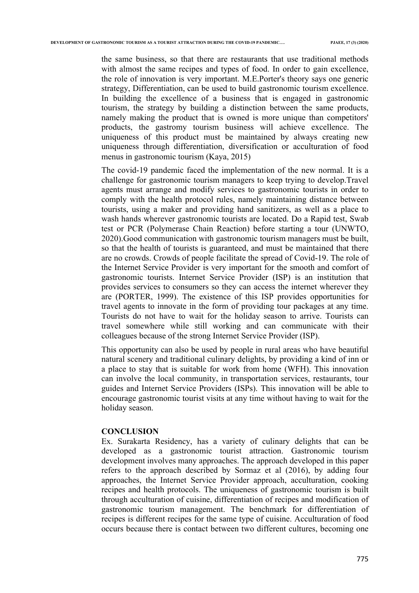the same business, so that there are restaurants that use traditional methods with almost the same recipes and types of food. In order to gain excellence, the role of innovation is very important. M.E.Porter's theory says one generic strategy, Differentiation, can be used to build gastronomic tourism excellence. In building the excellence of a business that is engaged in gastronomic tourism, the strategy by building a distinction between the same products, namely making the product that is owned is more unique than competitors' products, the gastromy tourism business will achieve excellence. The uniqueness of this product must be maintained by always creating new uniqueness through differentiation, diversification or acculturation of food menus in gastronomic tourism (Kaya, 2015)

The covid-19 pandemic faced the implementation of the new normal. It is a challenge for gastronomic tourism managers to keep trying to develop.Travel agents must arrange and modify services to gastronomic tourists in order to comply with the health protocol rules, namely maintaining distance between tourists, using a maker and providing hand sanitizers, as well as a place to wash hands wherever gastronomic tourists are located. Do a Rapid test, Swab test or PCR (Polymerase Chain Reaction) before starting a tour (UNWTO, 2020).Good communication with gastronomic tourism managers must be built, so that the health of tourists is guaranteed, and must be maintained that there are no crowds. Crowds of people facilitate the spread of Covid-19. The role of the Internet Service Provider is very important for the smooth and comfort of gastronomic tourists. Internet Service Provider (ISP) is an institution that provides services to consumers so they can access the internet wherever they are (PORTER, 1999). The existence of this ISP provides opportunities for travel agents to innovate in the form of providing tour packages at any time. Tourists do not have to wait for the holiday season to arrive. Tourists can travel somewhere while still working and can communicate with their colleagues because of the strong Internet Service Provider (ISP).

This opportunity can also be used by people in rural areas who have beautiful natural scenery and traditional culinary delights, by providing a kind of inn or a place to stay that is suitable for work from home (WFH). This innovation can involve the local community, in transportation services, restaurants, tour guides and Internet Service Providers (ISPs). This innovation will be able to encourage gastronomic tourist visits at any time without having to wait for the holiday season.

#### **CONCLUSION**

Ex. Surakarta Residency, has a variety of culinary delights that can be developed as a gastronomic tourist attraction. Gastronomic tourism development involves many approaches. The approach developed in this paper refers to the approach described by Sormaz et al (2016), by adding four approaches, the Internet Service Provider approach, acculturation, cooking recipes and health protocols. The uniqueness of gastronomic tourism is built through acculturation of cuisine, differentiation of recipes and modification of gastronomic tourism management. The benchmark for differentiation of recipes is different recipes for the same type of cuisine. Acculturation of food occurs because there is contact between two different cultures, becoming one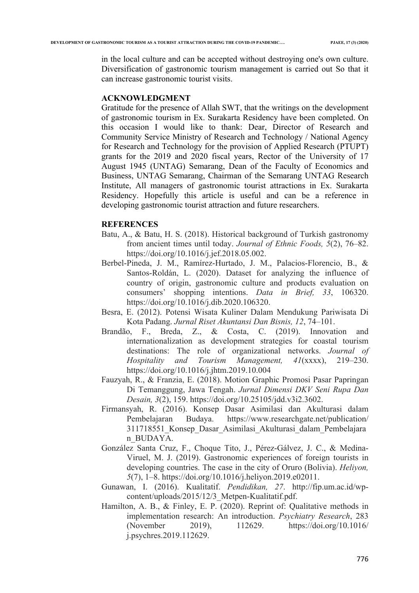in the local culture and can be accepted without destroying one's own culture. Diversification of gastronomic tourism management is carried out So that it can increase gastronomic tourist visits.

# **ACKNOWLEDGMENT**

Gratitude for the presence of Allah SWT, that the writings on the development of gastronomic tourism in Ex. Surakarta Residency have been completed. On this occasion I would like to thank: Dear, Director of Research and Community Service Ministry of Research and Technology / National Agency for Research and Technology for the provision of Applied Research (PTUPT) grants for the 2019 and 2020 fiscal years, Rector of the University of 17 August 1945 (UNTAG) Semarang, Dean of the Faculty of Economics and Business, UNTAG Semarang, Chairman of the Semarang UNTAG Research Institute, All managers of gastronomic tourist attractions in Ex. Surakarta Residency. Hopefully this article is useful and can be a reference in developing gastronomic tourist attraction and future researchers.

#### **REFERENCES**

- Batu, A., & Batu, H. S. (2018). Historical background of Turkish gastronomy from ancient times until today. *Journal of Ethnic Foods, 5*(2), 76–82. https://doi.org/10.1016/j.jef.2018.05.002.
- Berbel-Pineda, J. M., Ramírez-Hurtado, J. M., Palacios-Florencio, B., & Santos-Roldán, L. (2020). Dataset for analyzing the influence of country of origin, gastronomic culture and products evaluation on consumers' shopping intentions. *Data in Brief, 33*, 106320. https://doi.org/10.1016/j.dib.2020.106320.
- Besra, E. (2012). Potensi Wisata Kuliner Dalam Mendukung Pariwisata Di Kota Padang. *Jurnal Riset Akuntansi Dan Bisnis, 12*, 74–101.
- Brandão, F., Breda, Z., & Costa, C. (2019). Innovation and internationalization as development strategies for coastal tourism destinations: The role of organizational networks. *Journal of Hospitality and Tourism Management, 41*(xxxx), 219–230. https://doi.org/10.1016/j.jhtm.2019.10.004
- Fauzyah, R., & Franzia, E. (2018). Motion Graphic Promosi Pasar Papringan Di Temanggung, Jawa Tengah. *Jurnal Dimensi DKV Seni Rupa Dan Desain, 3*(2), 159. https://doi.org/10.25105/jdd.v3i2.3602.
- Firmansyah, R. (2016). Konsep Dasar Asimilasi dan Akulturasi dalam Pembelajaran Budaya. https://www.researchgate.net/publication/ 311718551\_Konsep\_Dasar\_Asimilasi\_Akulturasi\_dalam\_Pembelajara n\_BUDAYA.
- González Santa Cruz, F., Choque Tito, J., Pérez-Gálvez, J. C., & Medina-Viruel, M. J. (2019). Gastronomic experiences of foreign tourists in developing countries. The case in the city of Oruro (Bolivia). *Heliyon, 5*(7), 1–8. https://doi.org/10.1016/j.heliyon.2019.e02011.
- Gunawan, I. (2016). Kualitatif. *Pendidikan, 27*. http://fip.um.ac.id/wpcontent/uploads/2015/12/3\_Metpen-Kualitatif.pdf.
- Hamilton, A. B., & Finley, E. P. (2020). Reprint of: Qualitative methods in implementation research: An introduction. *Psychiatry Research*, 283 (November 2019), 112629. https://doi.org/10.1016/ j.psychres.2019.112629.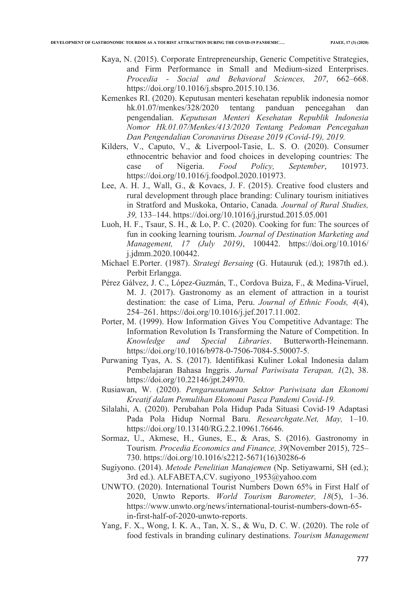- Kaya, N. (2015). Corporate Entrepreneurship, Generic Competitive Strategies, and Firm Performance in Small and Medium-sized Enterprises. *Procedia - Social and Behavioral Sciences, 207*, 662–668. https://doi.org/10.1016/j.sbspro.2015.10.136.
- Kemenkes RI. (2020). Keputusan menteri kesehatan republik indonesia nomor hk.01.07/menkes/328/2020 tentang panduan pencegahan dan pengendalian. *Keputusan Menteri Kesehatan Republik Indonesia Nomor Hk.01.07/Menkes/413/2020 Tentang Pedoman Pencegahan Dan Pengendalian Coronavirus Disease 2019 (Covid-19), 2019.*
- Kilders, V., Caputo, V., & Liverpool-Tasie, L. S. O. (2020). Consumer ethnocentric behavior and food choices in developing countries: The case of Nigeria. *Food Policy, September*, 101973. https://doi.org/10.1016/j.foodpol.2020.101973.
- Lee, A. H. J., Wall, G., & Kovacs, J. F. (2015). Creative food clusters and rural development through place branding: Culinary tourism initiatives in Stratford and Muskoka, Ontario, Canada*. Journal of Rural Studies, 39,* 133–144. https://doi.org/10.1016/j.jrurstud.2015.05.001
- Luoh, H. F., Tsaur, S. H., & Lo, P. C. (2020). Cooking for fun: The sources of fun in cooking learning tourism. *Journal of Destination Marketing and Management, 17 (July 2019)*, 100442. https://doi.org/10.1016/ j.jdmm.2020.100442.
- Michael E.Porter. (1987). *Strategi Bersaing* (G. Hutauruk (ed.); 1987th ed.). Perbit Erlangga.
- Pérez Gálvez, J. C., López-Guzmán, T., Cordova Buiza, F., & Medina-Viruel, M. J. (2017). Gastronomy as an element of attraction in a tourist destination: the case of Lima, Peru. *Journal of Ethnic Foods, 4*(4), 254–261. https://doi.org/10.1016/j.jef.2017.11.002.
- Porter, M. (1999). How Information Gives You Competitive Advantage: The Information Revolution Is Transforming the Nature of Competition. In *Knowledge and Special Libraries*. Butterworth-Heinemann. https://doi.org/10.1016/b978-0-7506-7084-5.50007-5.
- Purwaning Tyas, A. S. (2017). Identifikasi Kuliner Lokal Indonesia dalam Pembelajaran Bahasa Inggris. *Jurnal Pariwisata Terapan, 1*(2), 38. https://doi.org/10.22146/jpt.24970.
- Rusiawan, W. (2020). *Pengarusutamaan Sektor Pariwisata dan Ekonomi Kreatif dalam Pemulihan Ekonomi Pasca Pandemi Covid-19.*
- Silalahi, A. (2020). Perubahan Pola Hidup Pada Situasi Covid-19 Adaptasi Pada Pola Hidup Normal Baru. *Researchgate.Net, May,* 1–10. https://doi.org/10.13140/RG.2.2.10961.76646.
- Sormaz, U., Akmese, H., Gunes, E., & Aras, S. (2016). Gastronomy in Tourism*. Procedia Economics and Finance, 39*(November 2015), 725– 730. https://doi.org/10.1016/s2212-5671(16)30286-6
- Sugiyono. (2014). *Metode Penelitian Manajemen* (Np. Setiyawarni, SH (ed.); 3rd ed.). ALFABETA,CV. sugiyono\_1953@yahoo.com
- UNWTO. (2020). International Tourist Numbers Down 65% in First Half of 2020, Unwto Reports. *World Tourism Barometer, 18*(5), 1–36. https://www.unwto.org/news/international-tourist-numbers-down-65 in-first-half-of-2020-unwto-reports.
- Yang, F. X., Wong, I. K. A., Tan, X. S., & Wu, D. C. W. (2020). The role of food festivals in branding culinary destinations. *Tourism Management*